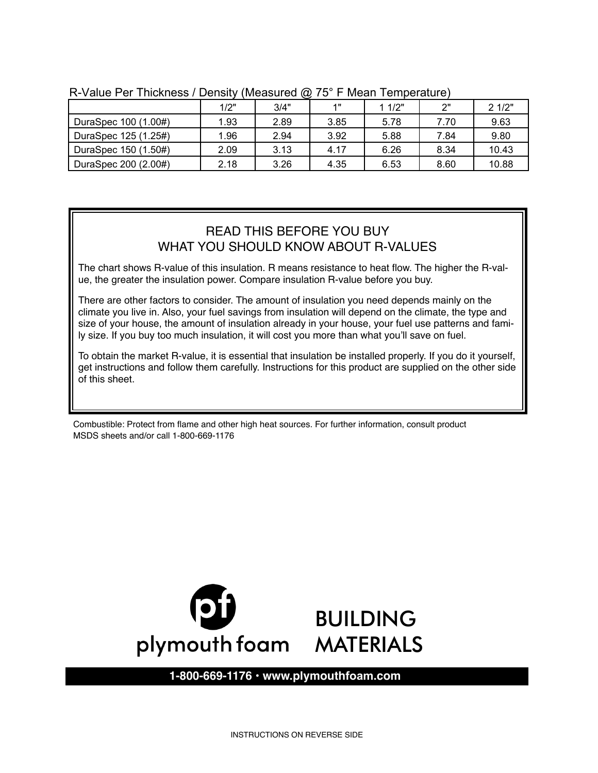|                      | ~    |      |      |        |      |       |  |
|----------------------|------|------|------|--------|------|-------|--|
|                      | 1/2" | 3/4" | 4 .  | 1 1/2" | ייר  | 21/2" |  |
| DuraSpec 100 (1.00#) | 1.93 | 2.89 | 3.85 | 5.78   | 7.70 | 9.63  |  |
| DuraSpec 125 (1.25#) | 1.96 | 2.94 | 3.92 | 5.88   | 7.84 | 9.80  |  |
| DuraSpec 150 (1.50#) | 2.09 | 3.13 | 4.17 | 6.26   | 8.34 | 10.43 |  |
| DuraSpec 200 (2.00#) | 2.18 | 3.26 | 4.35 | 6.53   | 8.60 | 10.88 |  |

R-Value Per Thickness / Density (Measured @ 75° F Mean Temperature)

Board Coverage Area:

## READ THIS BEFORE YOU BUY WHAT YOU SHOULD KNOW ABOUT R-VALUES

ue, the greater the insulation power. Compare insulation R-value before you buy. The chart shows R-value of this insulation. R means resistance to heat flow. The higher the R-val-

There are other factors to consider. The amount of insulation you need depends mainly on the size of your house, the amount of insulation already in your house, your fuel use patterns and family size. If you buy too much insulation, it will cost you more than what you'll save on fuel. climate you live in. Also, your fuel savings from insulation will depend on the climate, the type and

To obtain the market R-value, it is essential that insulation be installed properly. If you do it yourself, get instructions and follow them carefully. Instructions for this product are supplied on the other side of this sheet. The amount of insulation already in your fuel use patterns and family size. If  $\alpha$ 

To get the market R-value, it is essential that this insulation be installed properly. If you do it yourself

Combustible: Protect from flame and other high heat sources. For further information, consult product MSDS sheets and/or call 1-800-669-1176



### **1-800-669-1176 • www.plymouthfoam.com**